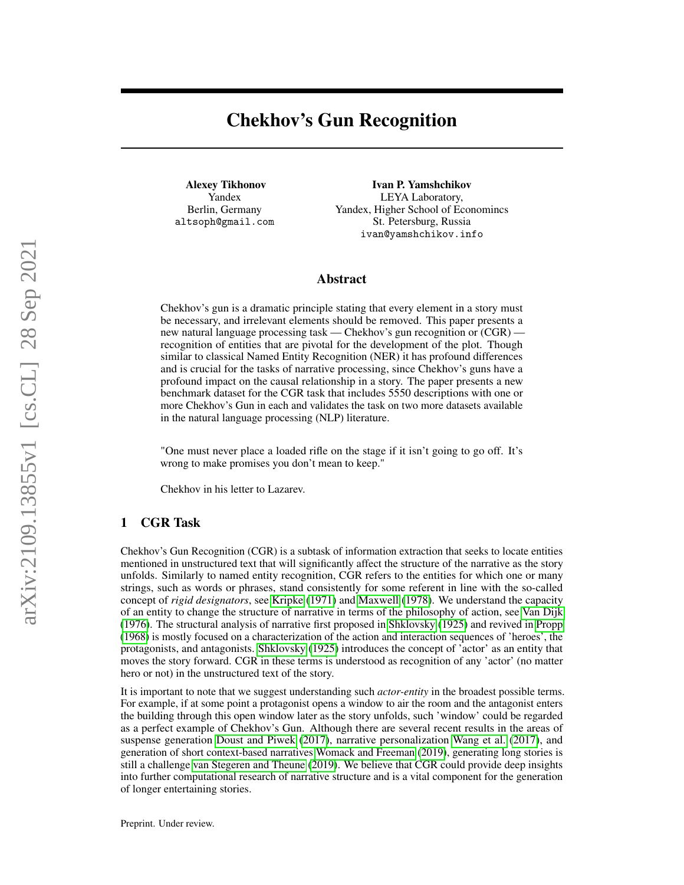# Chekhov's Gun Recognition

Alexey Tikhonov Yandex Berlin, Germany altsoph@gmail.com

Ivan P. Yamshchikov LEYA Laboratory, Yandex, Higher School of Economincs St. Petersburg, Russia ivan@yamshchikov.info

## Abstract

Chekhov's gun is a dramatic principle stating that every element in a story must be necessary, and irrelevant elements should be removed. This paper presents a new natural language processing task — Chekhov's gun recognition or (CGR) recognition of entities that are pivotal for the development of the plot. Though similar to classical Named Entity Recognition (NER) it has profound differences and is crucial for the tasks of narrative processing, since Chekhov's guns have a profound impact on the causal relationship in a story. The paper presents a new benchmark dataset for the CGR task that includes 5550 descriptions with one or more Chekhov's Gun in each and validates the task on two more datasets available in the natural language processing (NLP) literature.

"One must never place a loaded rifle on the stage if it isn't going to go off. It's wrong to make promises you don't mean to keep."

Chekhov in his letter to Lazarev.

# 1 CGR Task

Chekhov's Gun Recognition (CGR) is a subtask of information extraction that seeks to locate entities mentioned in unstructured text that will significantly affect the structure of the narrative as the story unfolds. Similarly to named entity recognition, CGR refers to the entities for which one or many strings, such as words or phrases, stand consistently for some referent in line with the so-called concept of *rigid designators*, see [Kripke](#page-6-0) [\(1971\)](#page-6-0) and [Maxwell](#page-7-0) [\(1978\)](#page-7-0). We understand the capacity of an entity to change the structure of narrative in terms of the philosophy of action, see [Van Dijk](#page-7-1) [\(1976\)](#page-7-1). The structural analysis of narrative first proposed in [Shklovsky](#page-7-2) [\(1925\)](#page-7-2) and revived in [Propp](#page-7-3) [\(1968\)](#page-7-3) is mostly focused on a characterization of the action and interaction sequences of 'heroes', the protagonists, and antagonists. [Shklovsky](#page-7-2) [\(1925\)](#page-7-2) introduces the concept of 'actor' as an entity that moves the story forward. CGR in these terms is understood as recognition of any 'actor' (no matter hero or not) in the unstructured text of the story.

It is important to note that we suggest understanding such *actor-entity* in the broadest possible terms. For example, if at some point a protagonist opens a window to air the room and the antagonist enters the building through this open window later as the story unfolds, such 'window' could be regarded as a perfect example of Chekhov's Gun. Although there are several recent results in the areas of suspense generation [Doust and Piwek](#page-6-1) [\(2017\)](#page-6-1), narrative personalization [Wang et al.](#page-7-4) [\(2017\)](#page-7-4), and generation of short context-based narratives [Womack and Freeman](#page-7-5) [\(2019\)](#page-7-5), generating long stories is still a challenge [van Stegeren and Theune](#page-7-6) [\(2019\)](#page-7-6). We believe that CGR could provide deep insights into further computational research of narrative structure and is a vital component for the generation of longer entertaining stories.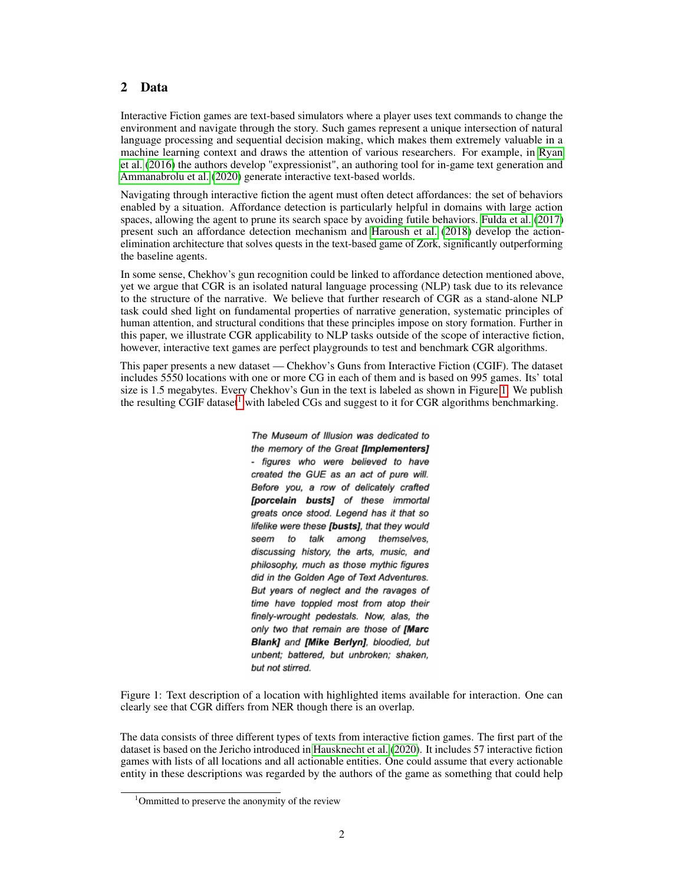# 2 Data

Interactive Fiction games are text-based simulators where a player uses text commands to change the environment and navigate through the story. Such games represent a unique intersection of natural language processing and sequential decision making, which makes them extremely valuable in a machine learning context and draws the attention of various researchers. For example, in [Ryan](#page-7-7) [et al.](#page-7-7) [\(2016\)](#page-7-7) the authors develop "expressionist", an authoring tool for in-game text generation and [Ammanabrolu et al.](#page-6-2) [\(2020\)](#page-6-2) generate interactive text-based worlds.

Navigating through interactive fiction the agent must often detect affordances: the set of behaviors enabled by a situation. Affordance detection is particularly helpful in domains with large action spaces, allowing the agent to prune its search space by avoiding futile behaviors. [Fulda et al.](#page-6-3) [\(2017\)](#page-6-3) present such an affordance detection mechanism and [Haroush et al.](#page-6-4) [\(2018\)](#page-6-4) develop the actionelimination architecture that solves quests in the text-based game of Zork, significantly outperforming the baseline agents.

In some sense, Chekhov's gun recognition could be linked to affordance detection mentioned above, yet we argue that CGR is an isolated natural language processing (NLP) task due to its relevance to the structure of the narrative. We believe that further research of CGR as a stand-alone NLP task could shed light on fundamental properties of narrative generation, systematic principles of human attention, and structural conditions that these principles impose on story formation. Further in this paper, we illustrate CGR applicability to NLP tasks outside of the scope of interactive fiction, however, interactive text games are perfect playgrounds to test and benchmark CGR algorithms.

<span id="page-1-0"></span>This paper presents a new dataset — Chekhov's Guns from Interactive Fiction (CGIF). The dataset includes 5550 locations with one or more CG in each of them and is based on 995 games. Its' total size is 1.5 megabytes. Every Chekhov's Gun in the text is labeled as shown in Figure [1.](#page-1-0) We publish the resulting  $\overline{CGIF}$  dataset<sup>[1](#page-1-1)</sup> with labeled  $\overline{CGs}$  and suggest to it for  $\overline{CGR}$  algorithms benchmarking.

> The Museum of Illusion was dedicated to the memory of the Great [Implementers] - figures who were believed to have created the GUE as an act of pure will. Before you, a row of delicately crafted [porcelain busts] of these immortal greats once stood. Legend has it that so lifelike were these [busts], that they would seem to talk among themselves, discussing history, the arts, music, and philosophy, much as those mythic figures did in the Golden Age of Text Adventures. But years of neglect and the ravages of time have toppled most from atop their finely-wrought pedestals. Now, alas, the only two that remain are those of [Marc Blank] and [Mike Berlyn], bloodied, but unbent; battered, but unbroken; shaken, but not stirred.

Figure 1: Text description of a location with highlighted items available for interaction. One can clearly see that CGR differs from NER though there is an overlap.

The data consists of three different types of texts from interactive fiction games. The first part of the dataset is based on the Jericho introduced in [Hausknecht et al.](#page-6-5) [\(2020\)](#page-6-5). It includes 57 interactive fiction games with lists of all locations and all actionable entities. One could assume that every actionable entity in these descriptions was regarded by the authors of the game as something that could help

<span id="page-1-1"></span><sup>&</sup>lt;sup>1</sup>Ommitted to preserve the anonymity of the review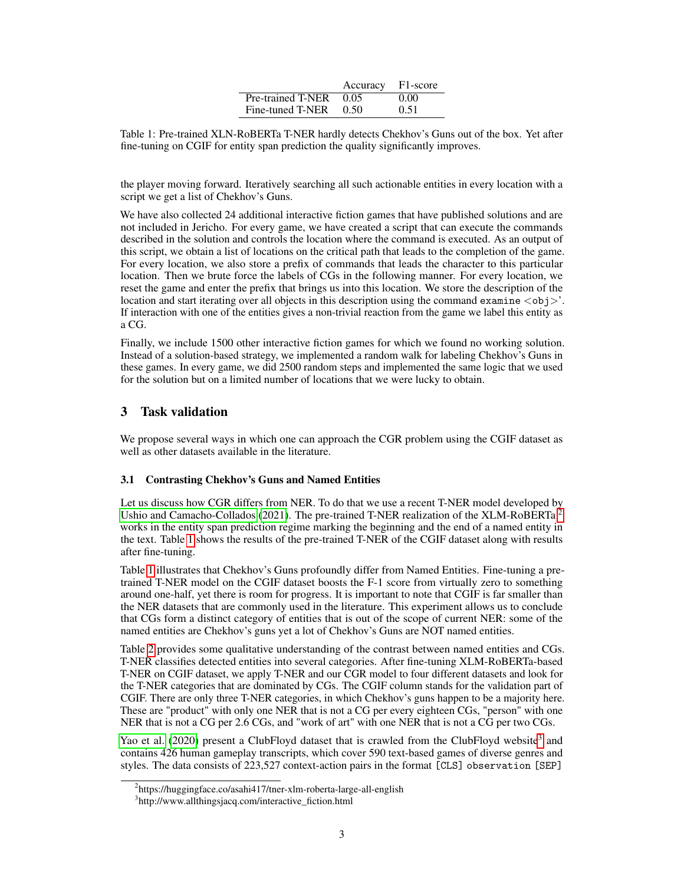|                        | Accuracy F1-score |      |
|------------------------|-------------------|------|
| Pre-trained T-NER 0.05 |                   | 0.00 |
| Fine-tuned T-NER 0.50  |                   | 0.51 |

<span id="page-2-1"></span>Table 1: Pre-trained XLN-RoBERTa T-NER hardly detects Chekhov's Guns out of the box. Yet after fine-tuning on CGIF for entity span prediction the quality significantly improves.

the player moving forward. Iteratively searching all such actionable entities in every location with a script we get a list of Chekhov's Guns.

We have also collected 24 additional interactive fiction games that have published solutions and are not included in Jericho. For every game, we have created a script that can execute the commands described in the solution and controls the location where the command is executed. As an output of this script, we obtain a list of locations on the critical path that leads to the completion of the game. For every location, we also store a prefix of commands that leads the character to this particular location. Then we brute force the labels of CGs in the following manner. For every location, we reset the game and enter the prefix that brings us into this location. We store the description of the location and start iterating over all objects in this description using the command examine  $\langle$ obj $\rangle$ '. If interaction with one of the entities gives a non-trivial reaction from the game we label this entity as a CG.

Finally, we include 1500 other interactive fiction games for which we found no working solution. Instead of a solution-based strategy, we implemented a random walk for labeling Chekhov's Guns in these games. In every game, we did 2500 random steps and implemented the same logic that we used for the solution but on a limited number of locations that we were lucky to obtain.

# 3 Task validation

We propose several ways in which one can approach the CGR problem using the CGIF dataset as well as other datasets available in the literature.

## <span id="page-2-3"></span>3.1 Contrasting Chekhov's Guns and Named Entities

Let us discuss how CGR differs from NER. To do that we use a recent T-NER model developed by [Ushio and Camacho-Collados](#page-7-8) [\(2021\)](#page-7-8). The pre-trained T-NER realization of the XLM-RoBERTa<sup>[2](#page-2-0)</sup> works in the entity span prediction regime marking the beginning and the end of a named entity in the text. Table [1](#page-2-1) shows the results of the pre-trained T-NER of the CGIF dataset along with results after fine-tuning.

Table [1](#page-2-1) illustrates that Chekhov's Guns profoundly differ from Named Entities. Fine-tuning a pretrained T-NER model on the CGIF dataset boosts the F-1 score from virtually zero to something around one-half, yet there is room for progress. It is important to note that CGIF is far smaller than the NER datasets that are commonly used in the literature. This experiment allows us to conclude that CGs form a distinct category of entities that is out of the scope of current NER: some of the named entities are Chekhov's guns yet a lot of Chekhov's Guns are NOT named entities.

Table [2](#page-3-0) provides some qualitative understanding of the contrast between named entities and CGs. T-NER classifies detected entities into several categories. After fine-tuning XLM-RoBERTa-based T-NER on CGIF dataset, we apply T-NER and our CGR model to four different datasets and look for the T-NER categories that are dominated by CGs. The CGIF column stands for the validation part of CGIF. There are only three T-NER categories, in which Chekhov's guns happen to be a majority here. These are "product" with only one NER that is not a CG per every eighteen CGs, "person" with one NER that is not a CG per 2.6 CGs, and "work of art" with one NER that is not a CG per two CGs.

[Yao et al.](#page-7-9) [\(2020\)](#page-7-9) present a ClubFloyd dataset that is crawled from the ClubFloyd website<sup>[3](#page-2-2)</sup> and contains 426 human gameplay transcripts, which cover 590 text-based games of diverse genres and styles. The data consists of 223,527 context-action pairs in the format [CLS] observation [SEP]

<span id="page-2-0"></span><sup>&</sup>lt;sup>2</sup>https://huggingface.co/asahi417/tner-xlm-roberta-large-all-english

<span id="page-2-2"></span><sup>3</sup> http://www.allthingsjacq.com/interactive\_fiction.html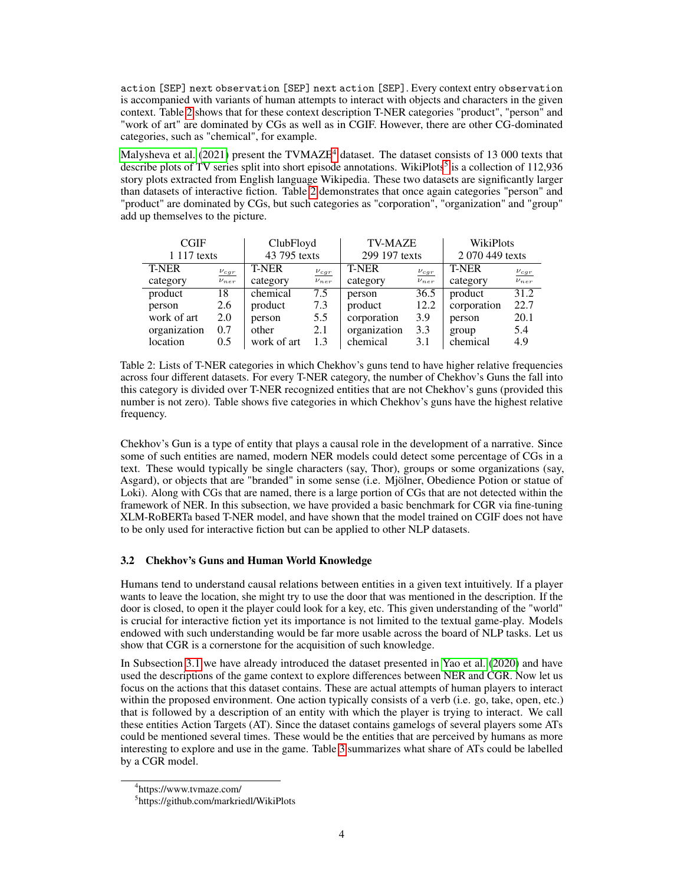action [SEP] next observation [SEP] next action [SEP]. Every context entry observation is accompanied with variants of human attempts to interact with objects and characters in the given context. Table [2](#page-3-0) shows that for these context description T-NER categories "product", "person" and "work of art" are dominated by CGs as well as in CGIF. However, there are other CG-dominated categories, such as "chemical", for example.

[Malysheva et al.](#page-7-10) [\(2021\)](#page-7-10) present the TVMAZE<sup>[4](#page-3-1)</sup> dataset. The dataset consists of 13 000 texts that describe plots of TV series split into short episode annotations. WikiPlots<sup>[5](#page-3-2)</sup> is a collection of 112,936 story plots extracted from English language Wikipedia. These two datasets are significantly larger than datasets of interactive fiction. Table [2](#page-3-0) demonstrates that once again categories "person" and "product" are dominated by CGs, but such categories as "corporation", "organization" and "group" add up themselves to the picture.

<span id="page-3-0"></span>

| <b>CGIF</b>  |             | ClubFloyd    |             | <b>TV-MAZE</b> |             | <b>WikiPlots</b> |             |
|--------------|-------------|--------------|-------------|----------------|-------------|------------------|-------------|
| 1 117 texts  |             | 43 795 texts |             | 299 197 texts  |             | 2 070 449 texts  |             |
| <b>T-NER</b> | $\nu_{cgr}$ | <b>T-NER</b> | $\nu_{cgr}$ | <b>T-NER</b>   | $\nu_{cgr}$ | <b>T-NER</b>     | $\nu_{cgr}$ |
| category     | $\nu_{ner}$ | category     | $\nu_{ner}$ | category       | $\nu_{ner}$ | category         | $\nu_{ner}$ |
| product      | 18          | chemical     | 7.5         | person         | 36.5        | product          | 31.2        |
| person       | 2.6         | product      | 7.3         | product        | 12.2        | corporation      | 22.7        |
| work of art  | 2.0         | person       | 5.5         | corporation    | 3.9         | person           | 20.1        |
| organization | 0.7         | other        | 2.1         | organization   | 3.3         | group            | 5.4         |
| location     | 0.5         | work of art  | 1.3         | chemical       | 3.1         | chemical         | 4.9         |

Table 2: Lists of T-NER categories in which Chekhov's guns tend to have higher relative frequencies across four different datasets. For every T-NER category, the number of Chekhov's Guns the fall into this category is divided over T-NER recognized entities that are not Chekhov's guns (provided this number is not zero). Table shows five categories in which Chekhov's guns have the highest relative frequency.

Chekhov's Gun is a type of entity that plays a causal role in the development of a narrative. Since some of such entities are named, modern NER models could detect some percentage of CGs in a text. These would typically be single characters (say, Thor), groups or some organizations (say, Asgard), or objects that are "branded" in some sense (i.e. Mjölner, Obedience Potion or statue of Loki). Along with CGs that are named, there is a large portion of CGs that are not detected within the framework of NER. In this subsection, we have provided a basic benchmark for CGR via fine-tuning XLM-RoBERTa based T-NER model, and have shown that the model trained on CGIF does not have to be only used for interactive fiction but can be applied to other NLP datasets.

#### 3.2 Chekhov's Guns and Human World Knowledge

Humans tend to understand causal relations between entities in a given text intuitively. If a player wants to leave the location, she might try to use the door that was mentioned in the description. If the door is closed, to open it the player could look for a key, etc. This given understanding of the "world" is crucial for interactive fiction yet its importance is not limited to the textual game-play. Models endowed with such understanding would be far more usable across the board of NLP tasks. Let us show that CGR is a cornerstone for the acquisition of such knowledge.

In Subsection [3.1](#page-2-3) we have already introduced the dataset presented in [Yao et al.](#page-7-9) [\(2020\)](#page-7-9) and have used the descriptions of the game context to explore differences between NER and CGR. Now let us focus on the actions that this dataset contains. These are actual attempts of human players to interact within the proposed environment. One action typically consists of a verb (i.e. go, take, open, etc.) that is followed by a description of an entity with which the player is trying to interact. We call these entities Action Targets (AT). Since the dataset contains gamelogs of several players some ATs could be mentioned several times. These would be the entities that are perceived by humans as more interesting to explore and use in the game. Table [3](#page-4-0) summarizes what share of ATs could be labelled by a CGR model.

<span id="page-3-1"></span><sup>4</sup> https://www.tvmaze.com/

<span id="page-3-2"></span><sup>5</sup> https://github.com/markriedl/WikiPlots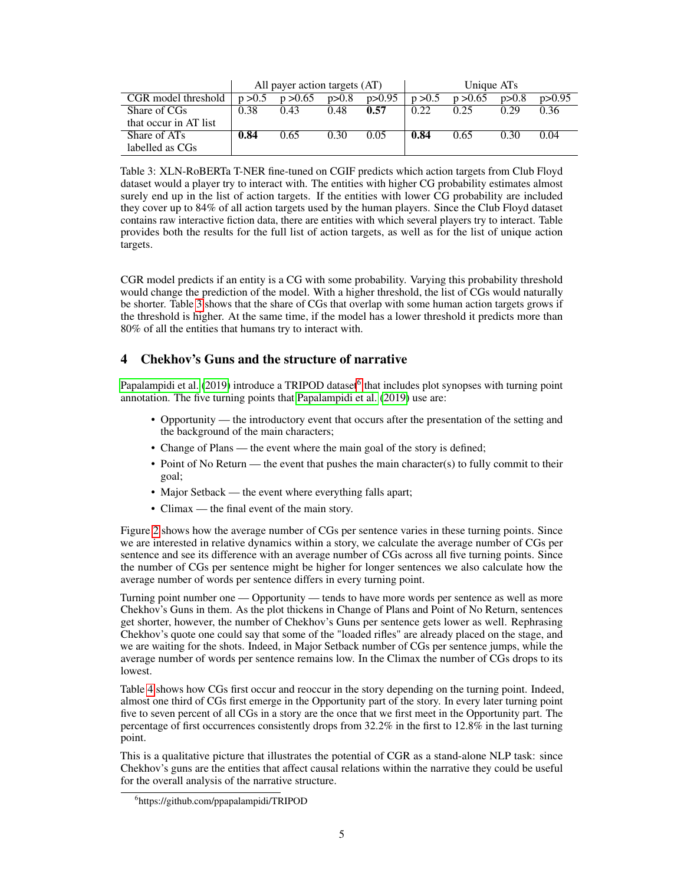<span id="page-4-0"></span>

|                       | All payer action targets (AT) |          |       | Unique AT <sub>s</sub> |         |          |       |          |
|-----------------------|-------------------------------|----------|-------|------------------------|---------|----------|-------|----------|
| CGR model threshold   | p > 0.5                       | p > 0.65 | p>0.8 | p > 0.95               | p > 0.5 | p > 0.65 | p>0.8 | p > 0.95 |
| Share of CGs          | 0.38                          | 0.43     | 0.48  | 0.57                   | 0.22    | 0.25     | 0.29  | 0.36     |
| that occur in AT list |                               |          |       |                        |         |          |       |          |
| Share of ATs          | 0.84                          | 0.65     | 0.30  | 0.05                   | 0.84    | 0.65     | 0.30  | 0.04     |
| labelled as CGs       |                               |          |       |                        |         |          |       |          |

Table 3: XLN-RoBERTa T-NER fine-tuned on CGIF predicts which action targets from Club Floyd dataset would a player try to interact with. The entities with higher CG probability estimates almost surely end up in the list of action targets. If the entities with lower CG probability are included they cover up to 84% of all action targets used by the human players. Since the Club Floyd dataset contains raw interactive fiction data, there are entities with which several players try to interact. Table provides both the results for the full list of action targets, as well as for the list of unique action targets.

CGR model predicts if an entity is a CG with some probability. Varying this probability threshold would change the prediction of the model. With a higher threshold, the list of CGs would naturally be shorter. Table [3](#page-4-0) shows that the share of CGs that overlap with some human action targets grows if the threshold is higher. At the same time, if the model has a lower threshold it predicts more than 80% of all the entities that humans try to interact with.

# 4 Chekhov's Guns and the structure of narrative

[Papalampidi et al.](#page-7-11) [\(2019\)](#page-7-11) introduce a TRIPOD dataset<sup>[6](#page-4-1)</sup> that includes plot synopses with turning point annotation. The five turning points that [Papalampidi et al.](#page-7-11) [\(2019\)](#page-7-11) use are:

- Opportunity the introductory event that occurs after the presentation of the setting and the background of the main characters;
- Change of Plans the event where the main goal of the story is defined;
- Point of No Return the event that pushes the main character(s) to fully commit to their goal;
- Major Setback the event where everything falls apart;
- Climax the final event of the main story.

Figure [2](#page-5-0) shows how the average number of CGs per sentence varies in these turning points. Since we are interested in relative dynamics within a story, we calculate the average number of CGs per sentence and see its difference with an average number of CGs across all five turning points. Since the number of CGs per sentence might be higher for longer sentences we also calculate how the average number of words per sentence differs in every turning point.

Turning point number one — Opportunity — tends to have more words per sentence as well as more Chekhov's Guns in them. As the plot thickens in Change of Plans and Point of No Return, sentences get shorter, however, the number of Chekhov's Guns per sentence gets lower as well. Rephrasing Chekhov's quote one could say that some of the "loaded rifles" are already placed on the stage, and we are waiting for the shots. Indeed, in Major Setback number of CGs per sentence jumps, while the average number of words per sentence remains low. In the Climax the number of CGs drops to its lowest.

Table [4](#page-5-1) shows how CGs first occur and reoccur in the story depending on the turning point. Indeed, almost one third of CGs first emerge in the Opportunity part of the story. In every later turning point five to seven percent of all CGs in a story are the once that we first meet in the Opportunity part. The percentage of first occurrences consistently drops from 32.2% in the first to 12.8% in the last turning point.

This is a qualitative picture that illustrates the potential of CGR as a stand-alone NLP task: since Chekhov's guns are the entities that affect causal relations within the narrative they could be useful for the overall analysis of the narrative structure.

<span id="page-4-1"></span><sup>6</sup> https://github.com/ppapalampidi/TRIPOD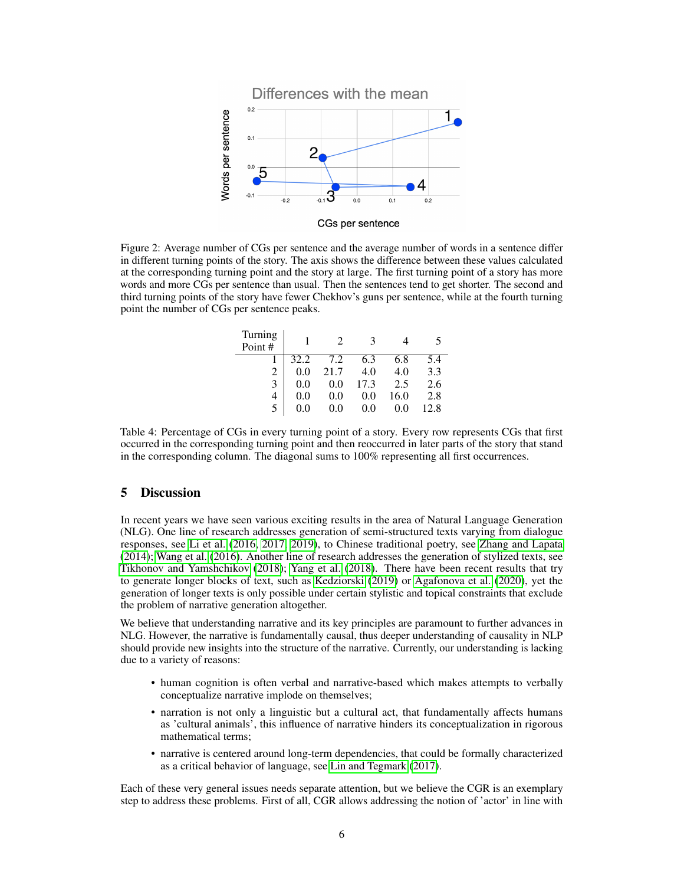<span id="page-5-0"></span>

CGs per sentence

<span id="page-5-1"></span>Figure 2: Average number of CGs per sentence and the average number of words in a sentence differ in different turning points of the story. The axis shows the difference between these values calculated at the corresponding turning point and the story at large. The first turning point of a story has more words and more CGs per sentence than usual. Then the sentences tend to get shorter. The second and third turning points of the story have fewer Chekhov's guns per sentence, while at the fourth turning point the number of CGs per sentence peaks.

| Turning<br>Point # |      |      | 3    |      |      |
|--------------------|------|------|------|------|------|
|                    | 32.2 | 7.2  | 6.3  | 6.8  | 5.4  |
|                    | 0.0  | 21.7 | 4.0  | 4.0  | 3.3  |
| 3                  | 0.0  | 0.0  | 17.3 | 2.5  | 2.6  |
|                    | 0.0  | 0.0  | 0.0  | 16.0 | 2.8  |
|                    | 0.0  | 0.0  | 0.0  | 0.0  | 12.8 |

Table 4: Percentage of CGs in every turning point of a story. Every row represents CGs that first occurred in the corresponding turning point and then reoccurred in later parts of the story that stand in the corresponding column. The diagonal sums to  $100\%$  representing all first occurrences.

## 5 Discussion

In recent years we have seen various exciting results in the area of Natural Language Generation (NLG). One line of research addresses generation of semi-structured texts varying from dialogue responses, see [Li et al.](#page-6-6) [\(2016,](#page-6-6) [2017,](#page-6-7) [2019\)](#page-6-8), to Chinese traditional poetry, see [Zhang and Lapata](#page-7-12) [\(2014\)](#page-7-12); [Wang et al.](#page-7-13) [\(2016\)](#page-7-13). Another line of research addresses the generation of stylized texts, see [Tikhonov and Yamshchikov](#page-7-14) [\(2018\)](#page-7-14); [Yang et al.](#page-7-15) [\(2018\)](#page-7-15). There have been recent results that try to generate longer blocks of text, such as [Kedziorski](#page-6-9) [\(2019\)](#page-6-9) or [Agafonova et al.](#page-6-10) [\(2020\)](#page-6-10), yet the generation of longer texts is only possible under certain stylistic and topical constraints that exclude the problem of narrative generation altogether.

We believe that understanding narrative and its key principles are paramount to further advances in NLG. However, the narrative is fundamentally causal, thus deeper understanding of causality in NLP should provide new insights into the structure of the narrative. Currently, our understanding is lacking due to a variety of reasons:

- human cognition is often verbal and narrative-based which makes attempts to verbally conceptualize narrative implode on themselves;
- narration is not only a linguistic but a cultural act, that fundamentally affects humans as 'cultural animals', this influence of narrative hinders its conceptualization in rigorous mathematical terms;
- narrative is centered around long-term dependencies, that could be formally characterized as a critical behavior of language, see [Lin and Tegmark](#page-6-11) [\(2017\)](#page-6-11).

Each of these very general issues needs separate attention, but we believe the CGR is an exemplary step to address these problems. First of all, CGR allows addressing the notion of 'actor' in line with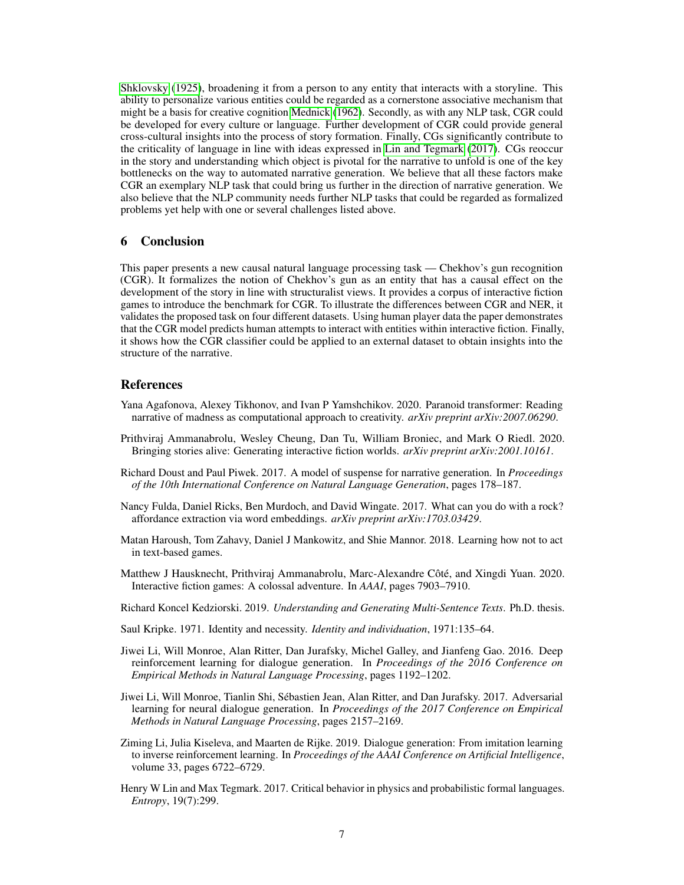[Shklovsky](#page-7-2) [\(1925\)](#page-7-2), broadening it from a person to any entity that interacts with a storyline. This ability to personalize various entities could be regarded as a cornerstone associative mechanism that might be a basis for creative cognition [Mednick](#page-7-16) [\(1962\)](#page-7-16). Secondly, as with any NLP task, CGR could be developed for every culture or language. Further development of CGR could provide general cross-cultural insights into the process of story formation. Finally, CGs significantly contribute to the criticality of language in line with ideas expressed in [Lin and Tegmark](#page-6-11) [\(2017\)](#page-6-11). CGs reoccur in the story and understanding which object is pivotal for the narrative to unfold is one of the key bottlenecks on the way to automated narrative generation. We believe that all these factors make CGR an exemplary NLP task that could bring us further in the direction of narrative generation. We also believe that the NLP community needs further NLP tasks that could be regarded as formalized problems yet help with one or several challenges listed above.

## 6 Conclusion

This paper presents a new causal natural language processing task — Chekhov's gun recognition (CGR). It formalizes the notion of Chekhov's gun as an entity that has a causal effect on the development of the story in line with structuralist views. It provides a corpus of interactive fiction games to introduce the benchmark for CGR. To illustrate the differences between CGR and NER, it validates the proposed task on four different datasets. Using human player data the paper demonstrates that the CGR model predicts human attempts to interact with entities within interactive fiction. Finally, it shows how the CGR classifier could be applied to an external dataset to obtain insights into the structure of the narrative.

### References

- <span id="page-6-10"></span>Yana Agafonova, Alexey Tikhonov, and Ivan P Yamshchikov. 2020. Paranoid transformer: Reading narrative of madness as computational approach to creativity. *arXiv preprint arXiv:2007.06290*.
- <span id="page-6-2"></span>Prithviraj Ammanabrolu, Wesley Cheung, Dan Tu, William Broniec, and Mark O Riedl. 2020. Bringing stories alive: Generating interactive fiction worlds. *arXiv preprint arXiv:2001.10161*.
- <span id="page-6-1"></span>Richard Doust and Paul Piwek. 2017. A model of suspense for narrative generation. In *Proceedings of the 10th International Conference on Natural Language Generation*, pages 178–187.
- <span id="page-6-3"></span>Nancy Fulda, Daniel Ricks, Ben Murdoch, and David Wingate. 2017. What can you do with a rock? affordance extraction via word embeddings. *arXiv preprint arXiv:1703.03429*.
- <span id="page-6-4"></span>Matan Haroush, Tom Zahavy, Daniel J Mankowitz, and Shie Mannor. 2018. Learning how not to act in text-based games.
- <span id="page-6-5"></span>Matthew J Hausknecht, Prithviraj Ammanabrolu, Marc-Alexandre Côté, and Xingdi Yuan. 2020. Interactive fiction games: A colossal adventure. In *AAAI*, pages 7903–7910.
- <span id="page-6-9"></span>Richard Koncel Kedziorski. 2019. *Understanding and Generating Multi-Sentence Texts*. Ph.D. thesis.
- <span id="page-6-0"></span>Saul Kripke. 1971. Identity and necessity. *Identity and individuation*, 1971:135–64.
- <span id="page-6-6"></span>Jiwei Li, Will Monroe, Alan Ritter, Dan Jurafsky, Michel Galley, and Jianfeng Gao. 2016. Deep reinforcement learning for dialogue generation. In *Proceedings of the 2016 Conference on Empirical Methods in Natural Language Processing*, pages 1192–1202.
- <span id="page-6-7"></span>Jiwei Li, Will Monroe, Tianlin Shi, Sébastien Jean, Alan Ritter, and Dan Jurafsky. 2017. Adversarial learning for neural dialogue generation. In *Proceedings of the 2017 Conference on Empirical Methods in Natural Language Processing*, pages 2157–2169.
- <span id="page-6-8"></span>Ziming Li, Julia Kiseleva, and Maarten de Rijke. 2019. Dialogue generation: From imitation learning to inverse reinforcement learning. In *Proceedings of the AAAI Conference on Artificial Intelligence*, volume 33, pages 6722–6729.
- <span id="page-6-11"></span>Henry W Lin and Max Tegmark. 2017. Critical behavior in physics and probabilistic formal languages. *Entropy*, 19(7):299.